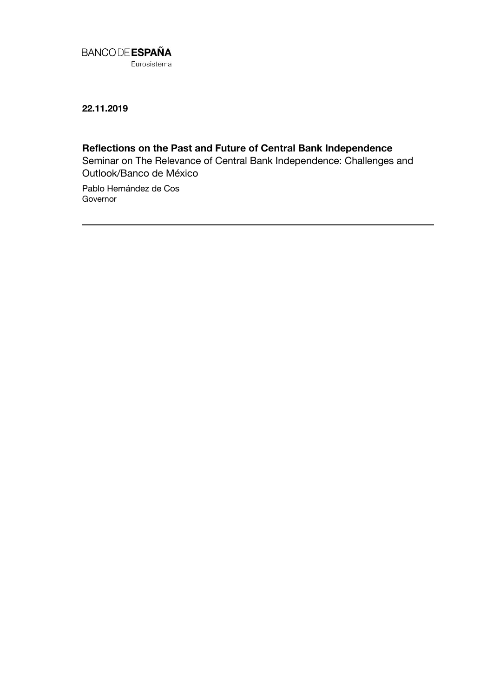

**22.11.2019**

# **Reflections on the Past and Future of Central Bank Independence**

Seminar on The Relevance of Central Bank Independence: Challenges and Outlook/Banco de México

Pablo Hernández de Cos **Governor**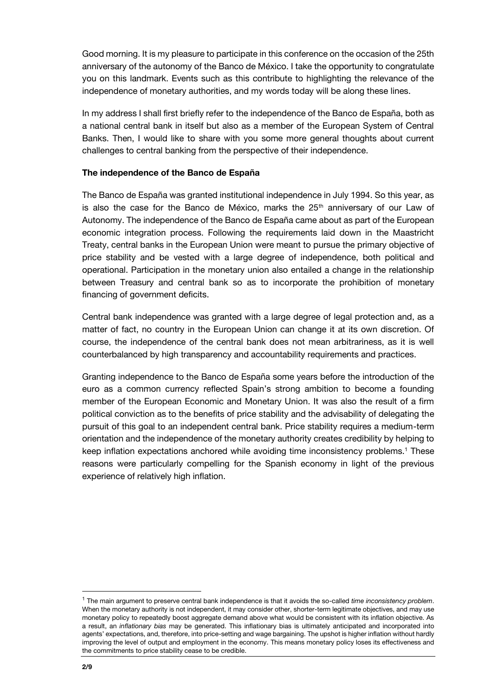Good morning. It is my pleasure to participate in this conference on the occasion of the 25th anniversary of the autonomy of the Banco de México. I take the opportunity to congratulate you on this landmark. Events such as this contribute to highlighting the relevance of the independence of monetary authorities, and my words today will be along these lines.

In my address I shall first briefly refer to the independence of the Banco de España, both as a national central bank in itself but also as a member of the European System of Central Banks. Then, I would like to share with you some more general thoughts about current challenges to central banking from the perspective of their independence.

#### **The independence of the Banco de España**

The Banco de España was granted institutional independence in July 1994. So this year, as is also the case for the Banco de México, marks the  $25<sup>th</sup>$  anniversary of our Law of Autonomy. The independence of the Banco de España came about as part of the European economic integration process. Following the requirements laid down in the Maastricht Treaty, central banks in the European Union were meant to pursue the primary objective of price stability and be vested with a large degree of independence, both political and operational. Participation in the monetary union also entailed a change in the relationship between Treasury and central bank so as to incorporate the prohibition of monetary financing of government deficits.

Central bank independence was granted with a large degree of legal protection and, as a matter of fact, no country in the European Union can change it at its own discretion. Of course, the independence of the central bank does not mean arbitrariness, as it is well counterbalanced by high transparency and accountability requirements and practices.

Granting independence to the Banco de España some years before the introduction of the euro as a common currency reflected Spain's strong ambition to become a founding member of the European Economic and Monetary Union. It was also the result of a firm political conviction as to the benefits of price stability and the advisability of delegating the pursuit of this goal to an independent central bank. Price stability requires a medium-term orientation and the independence of the monetary authority creates credibility by helping to keep inflation expectations anchored while avoiding time inconsistency problems.<sup>1</sup> These reasons were particularly compelling for the Spanish economy in light of the previous experience of relatively high inflation.

l

<sup>1</sup> The main argument to preserve central bank independence is that it avoids the so-called *time inconsistency problem*. When the monetary authority is not independent, it may consider other, shorter-term legitimate objectives, and may use monetary policy to repeatedly boost aggregate demand above what would be consistent with its inflation objective. As a result, an *inflationary bias* may be generated. This inflationary bias is ultimately anticipated and incorporated into agents' expectations, and, therefore, into price-setting and wage bargaining. The upshot is higher inflation without hardly improving the level of output and employment in the economy. This means monetary policy loses its effectiveness and the commitments to price stability cease to be credible.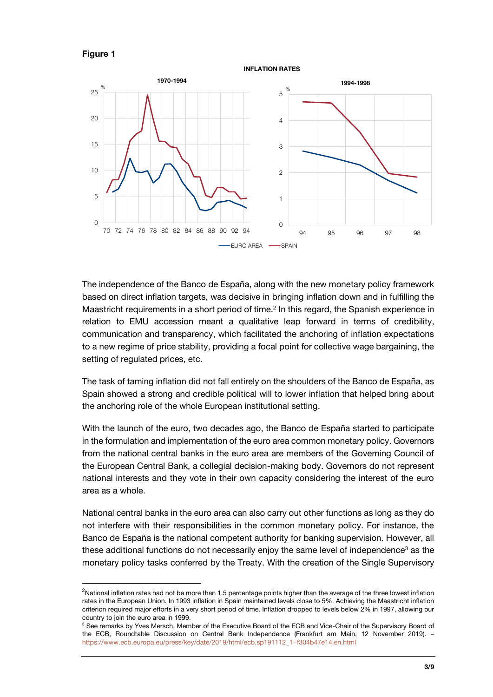

1

**INFLATION RATES**



The independence of the Banco de España, along with the new monetary policy framework based on direct inflation targets, was decisive in bringing inflation down and in fulfilling the Maastricht requirements in a short period of time.<sup>2</sup> In this regard, the Spanish experience in relation to EMU accession meant a qualitative leap forward in terms of credibility, communication and transparency, which facilitated the anchoring of inflation expectations to a new regime of price stability, providing a focal point for collective wage bargaining, the setting of regulated prices, etc.

The task of taming inflation did not fall entirely on the shoulders of the Banco de España, as Spain showed a strong and credible political will to lower inflation that helped bring about the anchoring role of the whole European institutional setting.

With the launch of the euro, two decades ago, the Banco de España started to participate in the formulation and implementation of the euro area common monetary policy. Governors from the national central banks in the euro area are members of the Governing Council of the European Central Bank, a collegial decision-making body. Governors do not represent national interests and they vote in their own capacity considering the interest of the euro area as a whole.

National central banks in the euro area can also carry out other functions as long as they do not interfere with their responsibilities in the common monetary policy. For instance, the Banco de España is the national competent authority for banking supervision. However, all these additional functions do not necessarily enjoy the same level of independence<sup>3</sup> as the monetary policy tasks conferred by the Treaty. With the creation of the Single Supervisory

<sup>&</sup>lt;sup>2</sup>National inflation rates had not be more than 1.5 percentage points higher than the average of the three lowest inflation rates in the European Union. In 1993 inflation in Spain maintained levels close to 5%. Achieving the Maastricht inflation criterion required major efforts in a very short period of time. Inflation dropped to levels below 2% in 1997, allowing our country to join the euro area in 1999.

<sup>&</sup>lt;sup>3</sup> See remarks by Yves Mersch, Member of the Executive Board of the ECB and Vice-Chair of the Supervisory Board of the ECB, Roundtable Discussion on Central Bank Independence (Frankfurt am Main, 12 November 2019). – [https://www.ecb.europa.eu/press/key/date/2019/html/ecb.sp191112\\_1~f304b47e14.en.html](https://www.ecb.europa.eu/press/key/date/2019/html/ecb.sp191112_1~f304b47e14.en.html)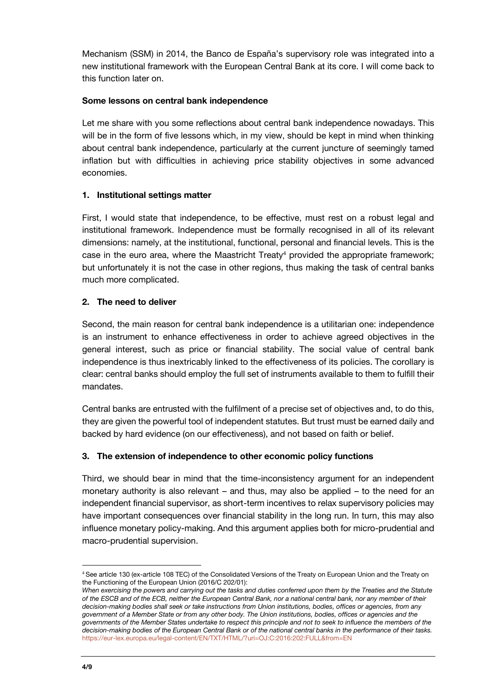Mechanism (SSM) in 2014, the Banco de España's supervisory role was integrated into a new institutional framework with the European Central Bank at its core. I will come back to this function later on.

### **Some lessons on central bank independence**

Let me share with you some reflections about central bank independence nowadays. This will be in the form of five lessons which, in my view, should be kept in mind when thinking about central bank independence, particularly at the current juncture of seemingly tamed inflation but with difficulties in achieving price stability objectives in some advanced economies.

## **1. Institutional settings matter**

First, I would state that independence, to be effective, must rest on a robust legal and institutional framework. Independence must be formally recognised in all of its relevant dimensions: namely, at the institutional, functional, personal and financial levels. This is the case in the euro area, where the Maastricht Treaty<sup>4</sup> provided the appropriate framework; but unfortunately it is not the case in other regions, thus making the task of central banks much more complicated.

## **2. The need to deliver**

Second, the main reason for central bank independence is a utilitarian one: independence is an instrument to enhance effectiveness in order to achieve agreed objectives in the general interest, such as price or financial stability. The social value of central bank independence is thus inextricably linked to the effectiveness of its policies. The corollary is clear: central banks should employ the full set of instruments available to them to fulfill their mandates.

Central banks are entrusted with the fulfilment of a precise set of objectives and, to do this, they are given the powerful tool of independent statutes. But trust must be earned daily and backed by hard evidence (on our effectiveness), and not based on faith or belief.

# **3. The extension of independence to other economic policy functions**

Third, we should bear in mind that the time-inconsistency argument for an independent monetary authority is also relevant – and thus, may also be applied – to the need for an independent financial supervisor, as short-term incentives to relax supervisory policies may have important consequences over financial stability in the long run. In turn, this may also influence monetary policy-making. And this argument applies both for micro-prudential and macro-prudential supervision.

l

<sup>4</sup> See article 130 (ex-article 108 TEC) of the Consolidated Versions of the Treaty on European Union and the Treaty on the Functioning of the European Union (2016/C 202/01):

*When exercising the powers and carrying out the tasks and duties conferred upon them by the Treaties and the Statute of the ESCB and of the ECB, neither the European Central Bank, nor a national central bank, nor any member of their decision-making bodies shall seek or take instructions from Union institutions, bodies, offices or agencies, from any government of a Member State or from any other body. The Union institutions, bodies, offices or agencies and the governments of the Member States undertake to respect this principle and not to seek to influence the members of the decision-making bodies of the European Central Bank or of the national central banks in the performance of their tasks.* <https://eur-lex.europa.eu/legal-content/EN/TXT/HTML/?uri=OJ:C:2016:202:FULL&from=EN>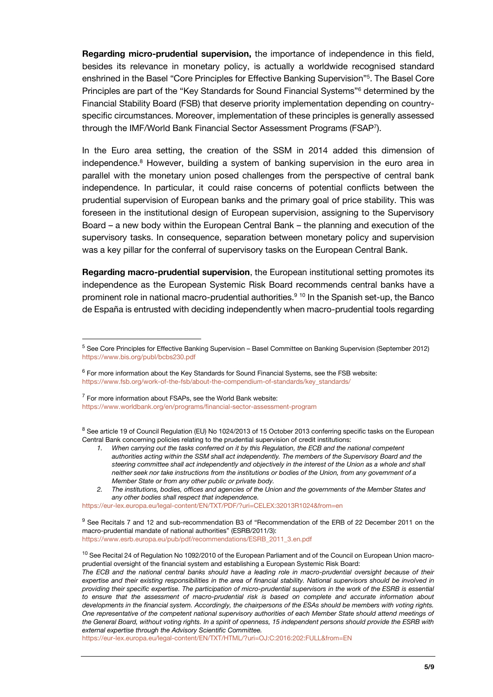**Regarding micro-prudential supervision,** the importance of independence in this field, besides its relevance in monetary policy, is actually a worldwide recognised standard enshrined in the Basel "Core Principles for Effective Banking Supervision"<sup>5</sup> . The Basel Core Principles are part of the "Key Standards for Sound Financial Systems"<sup>6</sup> determined by the Financial Stability Board (FSB) that deserve priority implementation depending on countryspecific circumstances. Moreover, implementation of these principles is generally assessed through the IMF/World Bank Financial Sector Assessment Programs (FSAP<sup>7</sup> ).

In the Euro area setting, the creation of the SSM in 2014 added this dimension of independence. <sup>8</sup> However, building a system of banking supervision in the euro area in parallel with the monetary union posed challenges from the perspective of central bank independence. In particular, it could raise concerns of potential conflicts between the prudential supervision of European banks and the primary goal of price stability. This was foreseen in the institutional design of European supervision, assigning to the Supervisory Board – a new body within the European Central Bank – the planning and execution of the supervisory tasks. In consequence, separation between monetary policy and supervision was a key pillar for the conferral of supervisory tasks on the European Central Bank.

**Regarding macro-prudential supervision**, the European institutional setting promotes its independence as the European Systemic Risk Board recommends central banks have a prominent role in national macro-prudential authorities.<sup>9 10</sup> In the Spanish set-up, the Banco de España is entrusted with deciding independently when macro-prudential tools regarding

 $7$  For more information about FSAPs, see the World Bank website: <https://www.worldbank.org/en/programs/financial-sector-assessment-program>

l

<sup>8</sup> See article 19 of Council Regulation (EU) No 1024/2013 of 15 October 2013 conferring specific tasks on the European Central Bank concerning policies relating to the prudential supervision of credit institutions:

- *1. When carrying out the tasks conferred on it by this Regulation, the ECB and the national competent authorities acting within the SSM shall act independently. The members of the Supervisory Board and the steering committee shall act independently and objectively in the interest of the Union as a whole and shall neither seek nor take instructions from the institutions or bodies of the Union, from any government of a Member State or from any other public or private body.*
- *2. The institutions, bodies, offices and agencies of the Union and the governments of the Member States and any other bodies shall respect that independence.*

<https://eur-lex.europa.eu/legal-content/EN/TXT/PDF/?uri=CELEX:32013R1024&from=en>

<sup>9</sup> See Recitals 7 and 12 and sub-recommendation B3 of "Recommendation of the ERB of 22 December 2011 on the macro-prudential mandate of national authorities" (ESRB/2011/3): [https://www.esrb.europa.eu/pub/pdf/recommendations/ESRB\\_2011\\_3.en.pdf](https://www.esrb.europa.eu/pub/pdf/recommendations/ESRB_2011_3.en.pdf)

<https://eur-lex.europa.eu/legal-content/EN/TXT/HTML/?uri=OJ:C:2016:202:FULL&from=EN>

<sup>5</sup> See Core Principles for Effective Banking Supervision – Basel Committee on Banking Supervision (September 2012) <https://www.bis.org/publ/bcbs230.pdf>

 $^6$  For more information about the Key Standards for Sound Financial Systems, see the FSB website: [https://www.fsb.org/work-of-the-fsb/about-the-compendium-of-standards/key\\_standards/](https://www.fsb.org/work-of-the-fsb/about-the-compendium-of-standards/key_standards/)

<sup>&</sup>lt;sup>10</sup> See Recital 24 of Regulation No 1092/2010 of the European Parliament and of the Council on European Union macroprudential oversight of the financial system and establishing a European Systemic Risk Board: *The ECB and the national central banks should have a leading role in macro-prudential oversight because of their expertise and their existing responsibilities in the area of financial stability. National supervisors should be involved in providing their specific expertise. The participation of micro-prudential supervisors in the work of the ESRB is essential to ensure that the assessment of macro-prudential risk is based on complete and accurate information about developments in the financial system. Accordingly, the chairpersons of the ESAs should be members with voting rights. One representative of the competent national supervisory authorities of each Member State should attend meetings of the General Board, without voting rights. In a spirit of openness, 15 independent persons should provide the ESRB with external expertise through the Advisory Scientific Committee.*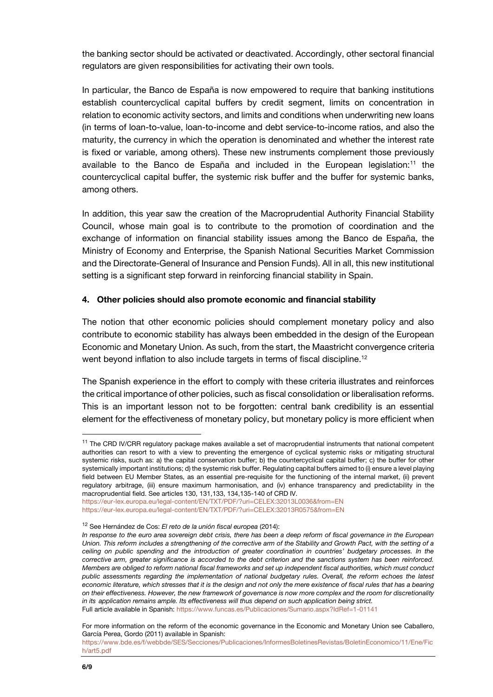the banking sector should be activated or deactivated. Accordingly, other sectoral financial regulators are given responsibilities for activating their own tools.

In particular, the Banco de España is now empowered to require that banking institutions establish countercyclical capital buffers by credit segment, limits on concentration in relation to economic activity sectors, and limits and conditions when underwriting new loans (in terms of loan-to-value, loan-to-income and debt service-to-income ratios, and also the maturity, the currency in which the operation is denominated and whether the interest rate is fixed or variable, among others). These new instruments complement those previously available to the Banco de España and included in the European legislation:<sup>11</sup> the countercyclical capital buffer, the systemic risk buffer and the buffer for systemic banks, among others.

In addition, this year saw the creation of the Macroprudential Authority Financial Stability Council, whose main goal is to contribute to the promotion of coordination and the exchange of information on financial stability issues among the Banco de España, the Ministry of Economy and Enterprise, the Spanish National Securities Market Commission and the Directorate-General of Insurance and Pension Funds). All in all, this new institutional setting is a significant step forward in reinforcing financial stability in Spain.

#### **4. Other policies should also promote economic and financial stability**

The notion that other economic policies should complement monetary policy and also contribute to economic stability has always been embedded in the design of the European Economic and Monetary Union. As such, from the start, the Maastricht convergence criteria went beyond inflation to also include targets in terms of fiscal discipline.<sup>12</sup>

The Spanish experience in the effort to comply with these criteria illustrates and reinforces the critical importance of other policies, such as fiscal consolidation or liberalisation reforms. This is an important lesson not to be forgotten: central bank credibility is an essential element for the effectiveness of monetary policy, but monetary policy is more efficient when

Full article available in Spanish:<https://www.funcas.es/Publicaciones/Sumario.aspx?IdRef=1-01141>

For more information on the reform of the economic governance in the Economic and Monetary Union see Caballero, García Perea, Gordo (2011) available in Spanish:

l

<sup>&</sup>lt;sup>11</sup> The CRD IV/CRR regulatory package makes available a set of macroprudential instruments that national competent authorities can resort to with a view to preventing the emergence of cyclical systemic risks or mitigating structural systemic risks, such as: a) the capital conservation buffer; b) the countercyclical capital buffer; c) the buffer for other systemically important institutions; d) the systemic risk buffer. Regulating capital buffers aimed to (i) ensure a level playing field between EU Member States, as an essential pre-requisite for the functioning of the internal market, (ii) prevent regulatory arbitrage, (iii) ensure maximum harmonisation, and (iv) enhance transparency and predictability in the macroprudential field. See articles 130, 131,133, 134,135-140 of CRD IV.

<https://eur-lex.europa.eu/legal-content/EN/TXT/PDF/?uri=CELEX:32013L0036&from=EN> <https://eur-lex.europa.eu/legal-content/EN/TXT/PDF/?uri=CELEX:32013R0575&from=EN>

<sup>12</sup> See Hernández de Cos: *El reto de la unión fiscal europea* (2014):

*In response to the euro area sovereign debt crisis, there has been a deep reform of fiscal governance in the European Union. This reform includes a strengthening of the corrective arm of the Stability and Growth Pact, with the setting of a ceiling on public spending and the introduction of greater coordination in countries' budgetary processes. In the corrective arm, greater significance is accorded to the debt criterion and the sanctions system has been reinforced. Members are obliged to reform national fiscal frameworks and set up independent fiscal authorities, which must conduct public assessments regarding the implementation of national budgetary rules. Overall, the reform echoes the latest economic literature, which stresses that it is the design and not only the mere existence of fiscal rules that has a bearing on their effectiveness. However, the new framework of governance is now more complex and the room for discretionality in its application remains ample. Its effectiveness will thus depend on such application being strict.*

[https://www.bde.es/f/webbde/SES/Secciones/Publicaciones/InformesBoletinesRevistas/BoletinEconomico/11/Ene/Fic](https://www.bde.es/f/webbde/SES/Secciones/Publicaciones/InformesBoletinesRevistas/BoletinEconomico/11/Ene/Fich/art5.pdf) [h/art5.pdf](https://www.bde.es/f/webbde/SES/Secciones/Publicaciones/InformesBoletinesRevistas/BoletinEconomico/11/Ene/Fich/art5.pdf)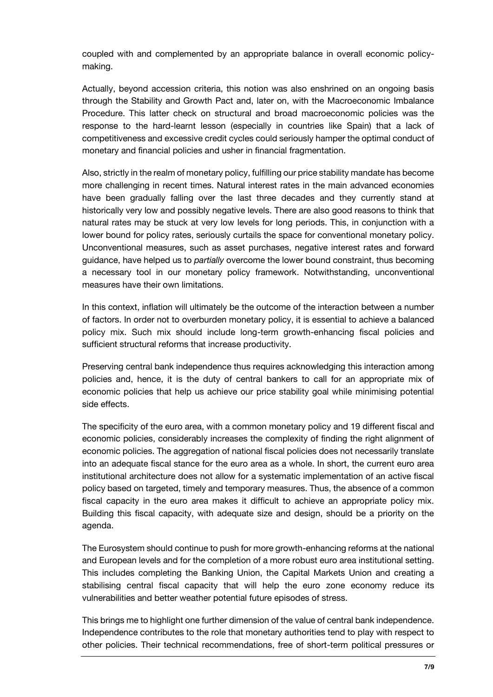coupled with and complemented by an appropriate balance in overall economic policymaking.

Actually, beyond accession criteria, this notion was also enshrined on an ongoing basis through the Stability and Growth Pact and, later on, with the Macroeconomic Imbalance Procedure. This latter check on structural and broad macroeconomic policies was the response to the hard-learnt lesson (especially in countries like Spain) that a lack of competitiveness and excessive credit cycles could seriously hamper the optimal conduct of monetary and financial policies and usher in financial fragmentation.

Also, strictly in the realm of monetary policy, fulfilling our price stability mandate has become more challenging in recent times. Natural interest rates in the main advanced economies have been gradually falling over the last three decades and they currently stand at historically very low and possibly negative levels. There are also good reasons to think that natural rates may be stuck at very low levels for long periods. This, in conjunction with a lower bound for policy rates, seriously curtails the space for conventional monetary policy. Unconventional measures, such as asset purchases, negative interest rates and forward guidance, have helped us to *partially* overcome the lower bound constraint, thus becoming a necessary tool in our monetary policy framework. Notwithstanding, unconventional measures have their own limitations.

In this context, inflation will ultimately be the outcome of the interaction between a number of factors. In order not to overburden monetary policy, it is essential to achieve a balanced policy mix. Such mix should include long-term growth-enhancing fiscal policies and sufficient structural reforms that increase productivity.

Preserving central bank independence thus requires acknowledging this interaction among policies and, hence, it is the duty of central bankers to call for an appropriate mix of economic policies that help us achieve our price stability goal while minimising potential side effects.

The specificity of the euro area, with a common monetary policy and 19 different fiscal and economic policies, considerably increases the complexity of finding the right alignment of economic policies. The aggregation of national fiscal policies does not necessarily translate into an adequate fiscal stance for the euro area as a whole. In short, the current euro area institutional architecture does not allow for a systematic implementation of an active fiscal policy based on targeted, timely and temporary measures. Thus, the absence of a common fiscal capacity in the euro area makes it difficult to achieve an appropriate policy mix. Building this fiscal capacity, with adequate size and design, should be a priority on the agenda.

The Eurosystem should continue to push for more growth-enhancing reforms at the national and European levels and for the completion of a more robust euro area institutional setting. This includes completing the Banking Union, the Capital Markets Union and creating a stabilising central fiscal capacity that will help the euro zone economy reduce its vulnerabilities and better weather potential future episodes of stress.

This brings me to highlight one further dimension of the value of central bank independence. Independence contributes to the role that monetary authorities tend to play with respect to other policies. Their technical recommendations, free of short-term political pressures or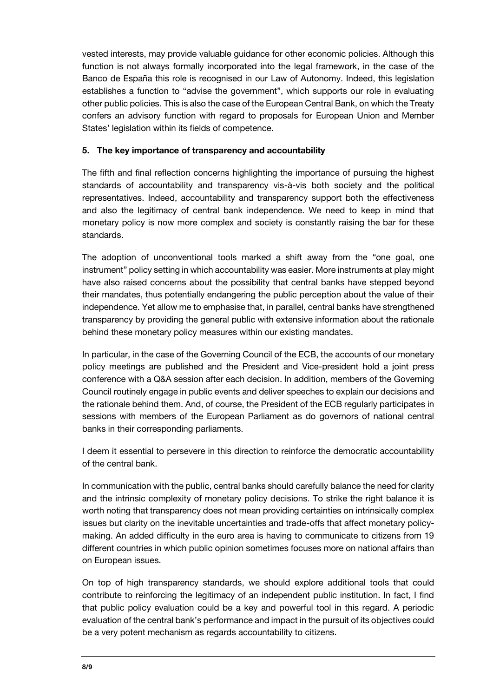vested interests, may provide valuable guidance for other economic policies. Although this function is not always formally incorporated into the legal framework, in the case of the Banco de España this role is recognised in our Law of Autonomy. Indeed, this legislation establishes a function to "advise the government", which supports our role in evaluating other public policies. This is also the case of the European Central Bank, on which the Treaty confers an advisory function with regard to proposals for European Union and Member States' legislation within its fields of competence.

### **5. The key importance of transparency and accountability**

The fifth and final reflection concerns highlighting the importance of pursuing the highest standards of accountability and transparency vis-à-vis both society and the political representatives. Indeed, accountability and transparency support both the effectiveness and also the legitimacy of central bank independence. We need to keep in mind that monetary policy is now more complex and society is constantly raising the bar for these standards.

The adoption of unconventional tools marked a shift away from the "one goal, one instrument" policy setting in which accountability was easier. More instruments at play might have also raised concerns about the possibility that central banks have stepped beyond their mandates, thus potentially endangering the public perception about the value of their independence. Yet allow me to emphasise that, in parallel, central banks have strengthened transparency by providing the general public with extensive information about the rationale behind these monetary policy measures within our existing mandates.

In particular, in the case of the Governing Council of the ECB, the accounts of our monetary policy meetings are published and the President and Vice-president hold a joint press conference with a Q&A session after each decision. In addition, members of the Governing Council routinely engage in public events and deliver speeches to explain our decisions and the rationale behind them. And, of course, the President of the ECB regularly participates in sessions with members of the European Parliament as do governors of national central banks in their corresponding parliaments.

I deem it essential to persevere in this direction to reinforce the democratic accountability of the central bank.

In communication with the public, central banks should carefully balance the need for clarity and the intrinsic complexity of monetary policy decisions. To strike the right balance it is worth noting that transparency does not mean providing certainties on intrinsically complex issues but clarity on the inevitable uncertainties and trade-offs that affect monetary policymaking. An added difficulty in the euro area is having to communicate to citizens from 19 different countries in which public opinion sometimes focuses more on national affairs than on European issues.

On top of high transparency standards, we should explore additional tools that could contribute to reinforcing the legitimacy of an independent public institution. In fact, I find that public policy evaluation could be a key and powerful tool in this regard. A periodic evaluation of the central bank's performance and impact in the pursuit of its objectives could be a very potent mechanism as regards accountability to citizens.